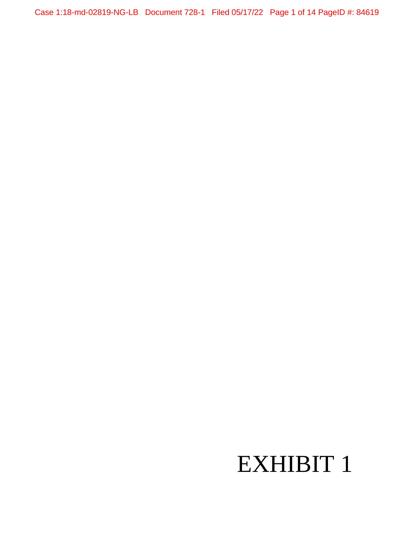Case 1:18-md-02819-NG-LB Document 728-1 Filed 05/17/22 Page 1 of 14 PageID #: 84619

## EXHIBIT 1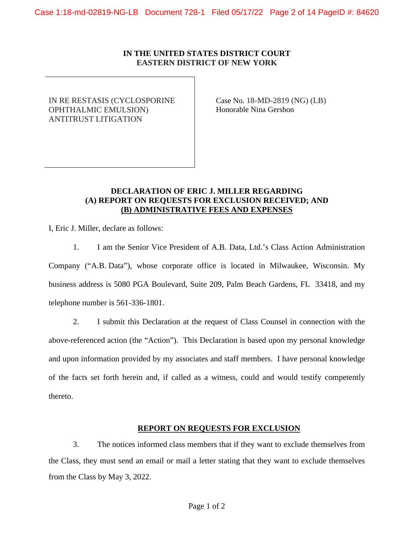#### **IN THE UNITED STATES DISTRICT COURT EASTERN DISTRICT OF NEW YORK**

IN RE RESTASIS (CYCLOSPORINE OPHTHALMIC EMULSION) ANTITRUST LITIGATION

Case No. 18-MD-2819 (NG) (LB) Honorable Nina Gershon

#### **DECLARATION OF ERIC J. MILLER REGARDING (A) REPORT ON REQUESTS FOR EXCLUSION RECEIVED; AND (B) ADMINISTRATIVE FEES AND EXPENSES**

I, Eric J. Miller, declare as follows:

1. I am the Senior Vice President of A.B. Data, Ltd.'s Class Action Administration Company ("A.B. Data"), whose corporate office is located in Milwaukee, Wisconsin. My business address is 5080 PGA Boulevard, Suite 209, Palm Beach Gardens, FL 33418, and my telephone number is 561-336-1801.

2. I submit this Declaration at the request of Class Counsel in connection with the above-referenced action (the "Action"). This Declaration is based upon my personal knowledge and upon information provided by my associates and staff members. I have personal knowledge of the facts set forth herein and, if called as a witness, could and would testify competently thereto.

#### **REPORT ON REQUESTS FOR EXCLUSION**

3. The notices informed class members that if they want to exclude themselves from the Class, they must send an email or mail a letter stating that they want to exclude themselves from the Class by May 3, 2022.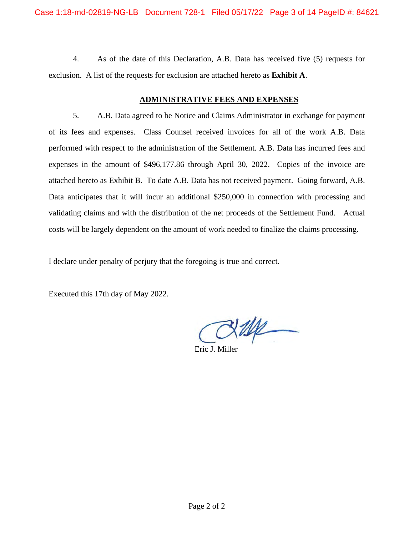4. As of the date of this Declaration, A.B. Data has received five (5) requests for exclusion. A list of the requests for exclusion are attached hereto as **Exhibit A**.

#### **ADMINISTRATIVE FEES AND EXPENSES**

5. A.B. Data agreed to be Notice and Claims Administrator in exchange for payment of its fees and expenses. Class Counsel received invoices for all of the work A.B. Data performed with respect to the administration of the Settlement. A.B. Data has incurred fees and expenses in the amount of \$496,177.86 through April 30, 2022. Copies of the invoice are attached hereto as Exhibit B. To date A.B. Data has not received payment. Going forward, A.B. Data anticipates that it will incur an additional \$250,000 in connection with processing and validating claims and with the distribution of the net proceeds of the Settlement Fund. Actual costs will be largely dependent on the amount of work needed to finalize the claims processing.

I declare under penalty of perjury that the foregoing is true and correct.

Executed this 17th day of May 2022.

Eric J. Miller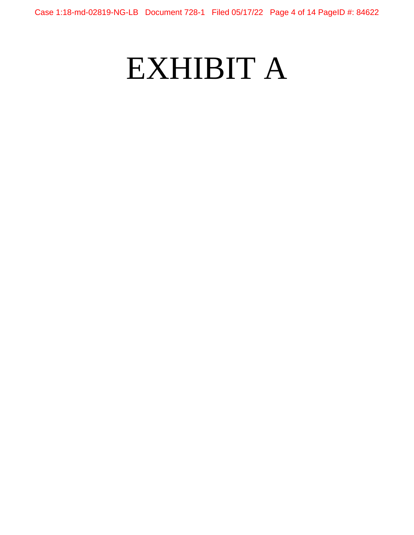## EXHIBIT A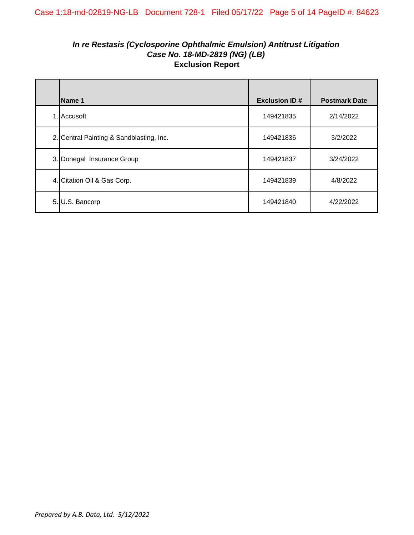## *In re Restasis (Cyclosporine Ophthalmic Emulsion) Antitrust Litigation Case No. 18-MD-2819 (NG) (LB)* **Exclusion Report**

| Name 1                                   | <b>Exclusion ID#</b> | <b>Postmark Date</b> |
|------------------------------------------|----------------------|----------------------|
| 1. Accusoft                              | 149421835            | 2/14/2022            |
| 2. Central Painting & Sandblasting, Inc. | 149421836            | 3/2/2022             |
| 3. Donegal Insurance Group               | 149421837            | 3/24/2022            |
| 4. Citation Oil & Gas Corp.              | 149421839            | 4/8/2022             |
| 5. U.S. Bancorp                          | 149421840            | 4/22/2022            |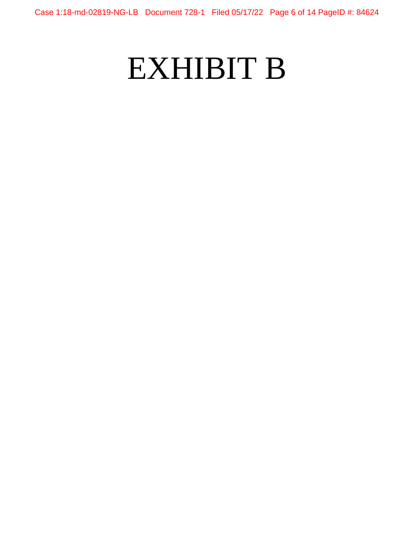# EXHIBIT B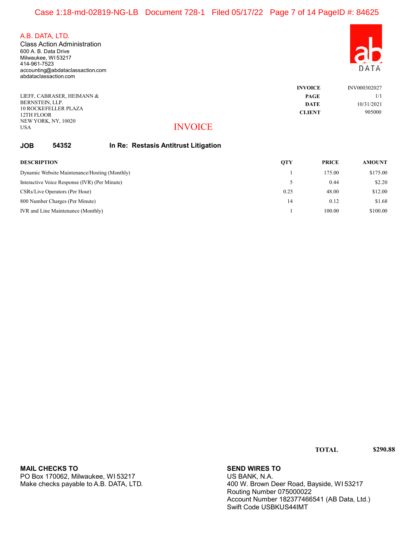## Case 1:18-md-02819-NG-LB Document 728-1 Filed 05/17/22 Page 7 of 14 PageID #: 84625

A.B. DATA, LTD.

600 A. B. Data Drive Milwaukee, WI 53217 414-961-7523 accounting@abdataclassaction.com abdataclassaction.com Class Action Administration



|                                   |                | <b>INVOICE</b> | INV000302027 |
|-----------------------------------|----------------|----------------|--------------|
| LIEFF. CABRASER. HEIMANN &        |                | PAGE           | 1/1          |
| BERNSTEIN, LLP.                   |                | <b>DATE</b>    | 10/31/2021   |
| <b>10 ROCKEFELLER PLAZA</b>       |                | <b>CLIENT</b>  | 905000       |
| 12TH FLOOR<br>NEW YORK, NY, 10020 |                |                |              |
| USA                               | <b>INVOICE</b> |                |              |

#### INVOICE

#### JOB 54352 In Re: Restasis Antitrust Litigation

| <b>DESCRIPTION</b>                            | <b>QTY</b> | <b>PRICE</b> | <b>AMOUNT</b> |
|-----------------------------------------------|------------|--------------|---------------|
| Dynamic Website Maintenance/Hosting (Monthly) |            | 175.00       | \$175.00      |
| Interactive Voice Response (IVR) (Per Minute) |            | 0.44         | \$2.20        |
| CSRs/Live Operators (Per Hour)                | 0.25       | 48.00        | \$12.00       |
| 800 Number Charges (Per Minute)               | 14         | 0.12         | \$1.68        |
| IVR and Line Maintenance (Monthly)            |            | 100.00       | \$100.00      |

PO Box 170062, Milwaukee, WI 53217 Make checks payable to A.B. DATA, LTD. MAIL CHECKS TO SEND WIRES TO

US BANK, N.A. 400 W. Brown Deer Road, Bayside, WI 53217 Routing Number 075000022 Account Number 182377466541 (AB Data, Ltd.) Swift Code USBKUS44IMT

TOTAL \$290.88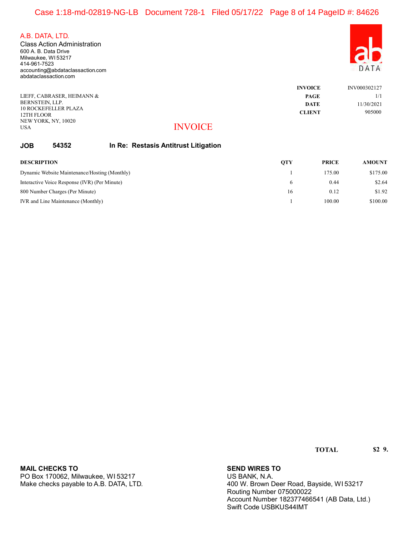## Case 1:18-md-02819-NG-LB Document 728-1 Filed 05/17/22 Page 8 of 14 PageID #: 84626

A.B. DATA, LTD.

600 A. B. Data Drive Milwaukee, WI 53217 414-961-7523 accounting@abdataclassaction.com abdataclassaction.com Class Action Administration



|                                           |                | <b>INVOICE</b> | INV000302127 |
|-------------------------------------------|----------------|----------------|--------------|
| LIEFF. CABRASER. HEIMANN &                |                | <b>PAGE</b>    | 1/1          |
| BERNSTEIN, LLP.                           |                | <b>DATE</b>    | 11/30/2021   |
| <b>10 ROCKEFELLER PLAZA</b><br>12TH FLOOR |                | <b>CLIENT</b>  | 905000       |
| NEW YORK, NY, 10020                       |                |                |              |
| <b>USA</b>                                | <b>INVOICE</b> |                |              |

#### INVOICE

#### JOB 54352 In Re: Restasis Antitrust Litigation

| <b>DESCRIPTION</b>                            | <b>OTY</b> | <b>PRICE</b> | <b>AMOUNT</b> |
|-----------------------------------------------|------------|--------------|---------------|
| Dynamic Website Maintenance/Hosting (Monthly) |            | 175.00       | \$175.00      |
| Interactive Voice Response (IVR) (Per Minute) |            | 0.44         | \$2.64        |
| 800 Number Charges (Per Minute)               | 16         | 0.12         | \$1.92        |
| IVR and Line Maintenance (Monthly)            |            | 100.00       | \$100.00      |

| MAIL CHECKS TO                         |
|----------------------------------------|
| PO Box 170062, Milwaukee, WI 53217     |
| Make checks payable to A.B. DATA, LTD. |

#### **SEND WIRES TO**

US BANK, N.A. 400 W. Brown Deer Road, Bayside, WI 53217 Routing Number 075000022 Account Number 182377466541 (AB Data, Ltd.) Swift Code USBKUS44IMT

TOTAL \$2 9.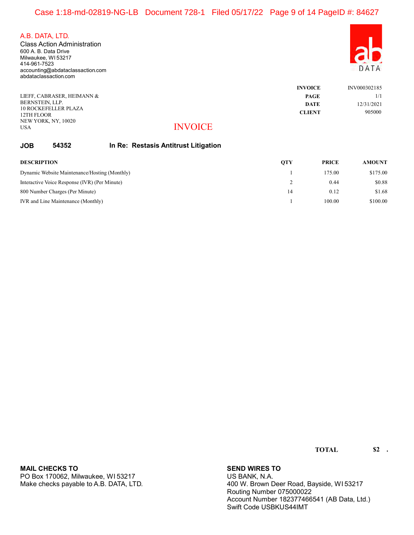## Case 1:18-md-02819-NG-LB Document 728-1 Filed 05/17/22 Page 9 of 14 PageID #: 84627

A.B. DATA, LTD.

600 A. B. Data Drive Milwaukee, WI 53217 414-961-7523 accounting@abdataclassaction.com abdataclassaction.com Class Action Administration



|                                           |                | <b>INVOICE</b> | INV000302185 |
|-------------------------------------------|----------------|----------------|--------------|
| LIEFF. CABRASER. HEIMANN &                |                | <b>PAGE</b>    | 1/1          |
| BERNSTEIN, LLP.                           |                | <b>DATE</b>    | 12/31/2021   |
| <b>10 ROCKEFELLER PLAZA</b><br>12TH FLOOR |                | <b>CLIENT</b>  | 905000       |
| NEW YORK, NY, 10020                       |                |                |              |
| <b>USA</b>                                | <b>INVOICE</b> |                |              |

#### INVOICE

#### JOB 54352 In Re: Restasis Antitrust Litigation

| <b>DESCRIPTION</b>                            | OTY | <b>PRICE</b> | <b>AMOUNT</b> |
|-----------------------------------------------|-----|--------------|---------------|
| Dynamic Website Maintenance/Hosting (Monthly) |     | 175.00       | \$175.00      |
| Interactive Voice Response (IVR) (Per Minute) |     | 0.44         | \$0.88        |
| 800 Number Charges (Per Minute)               | 14  | 0.12         | \$1.68        |
| IVR and Line Maintenance (Monthly)            |     | 100.00       | \$100.00      |

| MAIL CHECKS TO                         |
|----------------------------------------|
| PO Box 170062, Milwaukee, WI 53217     |
| Make checks payable to A.B. DATA, LTD. |

#### **SEND WIRES TO**

US BANK, N.A. 400 W. Brown Deer Road, Bayside, WI 53217 Routing Number 075000022 Account Number 182377466541 (AB Data, Ltd.) Swift Code USBKUS44IMT

TOTAL \$2 .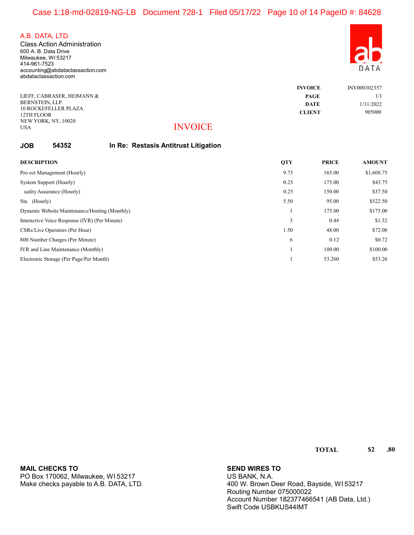600 A. B. Data Drive Milwaukee, WI 53217 414-961-7523 accounting@abdataclassaction.com abdataclassaction.com Class Action Administration

| ) A<br>F | ГA |
|----------|----|

|                            |                | <b>INVOICE</b> | INV000302357 |
|----------------------------|----------------|----------------|--------------|
| LIEFF, CABRASER, HEIMANN & |                | <b>PAGE</b>    | 1/1          |
| BERNSTEIN, LLP.            |                | <b>DATE</b>    | 1/31/2022    |
| 10 ROCKEFELLER PLAZA       |                | <b>CLIENT</b>  | 905000       |
| 12TH FLOOR                 |                |                |              |
| NEW YORK, NY, 10020        |                |                |              |
| <b>USA</b>                 | <b>INVOICE</b> |                |              |

#### INVOICE

#### JOB 54352 In Re: Restasis Antitrust Litigation

| <b>DESCRIPTION</b>                            | <b>QTY</b> | <b>PRICE</b> | <b>AMOUNT</b> |
|-----------------------------------------------|------------|--------------|---------------|
| Pro ect Management (Hourly)                   | 9.75       | 165.00       | \$1,608.75    |
| System Support (Hourly)                       | 0.25       | 175.00       | \$43.75       |
| uality Assurance (Hourly)                     | 0.25       | 150.00       | \$37.50       |
| Sta (Hourly)                                  | 5.50       | 95.00        | \$522.50      |
| Dynamic Website Maintenance/Hosting (Monthly) |            | 175.00       | \$175.00      |
| Interactive Voice Response (IVR) (Per Minute) | 3          | 0.44         | \$1.32        |
| CSRs/Live Operators (Per Hour)                | 1.50       | 48.00        | \$72.00       |
| 800 Number Charges (Per Minute)               | 6          | 0.12         | \$0.72        |
| IVR and Line Maintenance (Monthly)            |            | 100.00       | \$100.00      |
| Electronic Storage (Per Page/Per Month)       |            | 53.260       | \$53.26       |

PO Box 170062, Milwaukee, WI 53217 Make checks payable to A.B. DATA, LTD. MAIL CHECKS TO **SEND WIRES TO** 

US BANK, N.A. 400 W. Brown Deer Road, Bayside, WI 53217 Routing Number 075000022 Account Number 182377466541 (AB Data, Ltd.) Swift Code USBKUS44IMT

TOTAL \$2 .80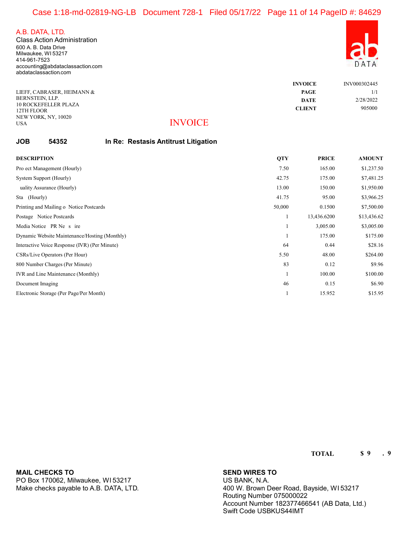USA

600 A. B. Data Drive Milwaukee, WI 53217 414-961-7523 accounting@abdataclassaction.com abdataclassaction.com Class Action Administration

| š |  |
|---|--|

|                                        | <b>INVOICE</b> | INV000302445 |
|----------------------------------------|----------------|--------------|
| LIEFF. CABRASER. HEIMANN &             | <b>PAGE</b>    | 1/1          |
| BERNSTEIN, LLP.                        | <b>DATE</b>    | 2/28/2022    |
| 10 ROCKEFELLER PLAZA<br>12TH FLOOR     | <b>CLIENT</b>  | 905000       |
| NEW YORK, NY, 10020<br>__ __ _ _ _ _ _ |                |              |

## INVOICE

#### JOB 54352 In Re: Restasis Antitrust Litigation

| <b>DESCRIPTION</b>                            | <b>QTY</b> | <b>PRICE</b> | <b>AMOUNT</b> |
|-----------------------------------------------|------------|--------------|---------------|
| Pro ect Management (Hourly)                   | 7.50       | 165.00       | \$1,237.50    |
| System Support (Hourly)                       | 42.75      | 175.00       | \$7,481.25    |
| uality Assurance (Hourly)                     | 13.00      | 150.00       | \$1,950.00    |
| Sta (Hourly)                                  | 41.75      | 95.00        | \$3,966.25    |
| Printing and Mailing o Notice Postcards       | 50,000     | 0.1500       | \$7,500.00    |
| Postage Notice Postcards                      |            | 13,436.6200  | \$13,436.62   |
| Media Notice PR Ne s ire                      |            | 3,005.00     | \$3,005.00    |
| Dynamic Website Maintenance/Hosting (Monthly) |            | 175.00       | \$175.00      |
| Interactive Voice Response (IVR) (Per Minute) | 64         | 0.44         | \$28.16       |
| CSRs/Live Operators (Per Hour)                | 5.50       | 48.00        | \$264.00      |
| 800 Number Charges (Per Minute)               | 83         | 0.12         | \$9.96        |
| IVR and Line Maintenance (Monthly)            |            | 100.00       | \$100.00      |
| Document Imaging                              | 46         | 0.15         | \$6.90        |
| Electronic Storage (Per Page/Per Month)       |            | 15.952       | \$15.95       |

MAIL CHECKS TO **SEND WIRES TO** 

PO Box 170062, Milwaukee, WI 53217 Make checks payable to A.B. DATA, LTD.

US BANK, N.A. 400 W. Brown Deer Road, Bayside, WI 53217 Routing Number 075000022 Account Number 182377466541 (AB Data, Ltd.) Swift Code USBKUS44IMT

TOTAL \$9.9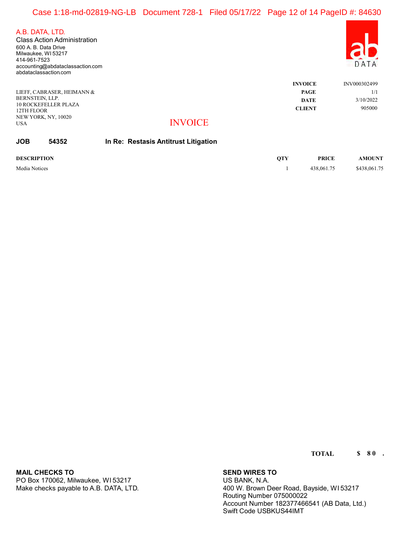## Case 1:18-md-02819-NG-LB Document 728-1 Filed 05/17/22 Page 12 of 14 PageID #: 84630

A.B. DATA, LTD.

600 A. B. Data Drive Milwaukee, WI 53217 414-961-7523 accounting@abdataclassaction.com abdataclassaction.com Class Action Administration

|                             |                | <b>INVOICE</b> | INV000302499 |
|-----------------------------|----------------|----------------|--------------|
| LIEFF. CABRASER. HEIMANN &  |                | <b>PAGE</b>    | 1/1          |
| BERNSTEIN, LLP.             |                | <b>DATE</b>    | 3/10/2022    |
| <b>10 ROCKEFELLER PLAZA</b> |                | <b>CLIENT</b>  | 905000       |
| 12TH FLOOR                  |                |                |              |
| NEW YORK, NY, 10020         |                |                |              |
| <b>USA</b>                  | <b>INVOICE</b> |                |              |

## INVOICE

| <b>JOB</b> | 54352 | In Re: Restasis Antitrust Litigation |  |
|------------|-------|--------------------------------------|--|
|------------|-------|--------------------------------------|--|

DESCRIPTION QTY PRICE AMOUNT Media Notices \$438,061.75 \$438,061.75 \$438,061.75

PO Box 170062, Milwaukee, WI 53217 Make checks payable to A.B. DATA, LTD. MAIL CHECKS TO **SEND WIRES TO** 

US BANK, N.A. 400 W. Brown Deer Road, Bayside, WI 53217 Routing Number 075000022 Account Number 182377466541 (AB Data, Ltd.) Swift Code USBKUS44IMT

TOTAL \$80.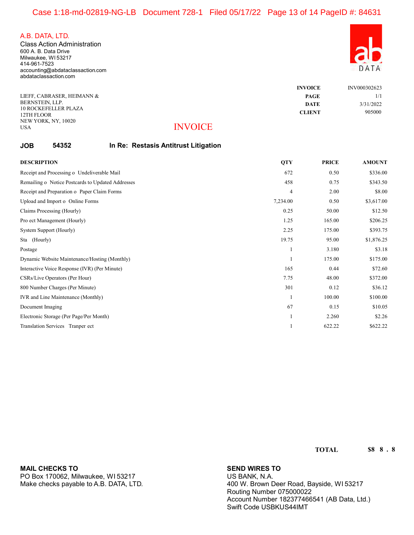USA

600 A. B. Data Drive Milwaukee, WI 53217 414-961-7523 accounting@abdataclassaction.com abdataclassaction.com Class Action Administration

| DA | ГA |
|----|----|

|                                         |                      | <b>INVOICE</b> | INV000302623 |
|-----------------------------------------|----------------------|----------------|--------------|
| LIEFF. CABRASER. HEIMANN &              |                      | <b>PAGE</b>    | 1/1          |
| BERNSTEIN, LLP.<br>10 ROCKEFELLER PLAZA |                      | <b>DATE</b>    | 3/31/2022    |
| 12TH FLOOR                              |                      | <b>CLIENT</b>  | 905000       |
| NEW YORK, NY, 10020                     | $\bf{H}$ II $\bf{M}$ |                |              |

#### **INVOICE**

#### JOB 54352 In Re: Restasis Antitrust Litigation

| <b>DESCRIPTION</b>                                | <b>QTY</b>     | <b>PRICE</b> | <b>AMOUNT</b> |
|---------------------------------------------------|----------------|--------------|---------------|
| Receipt and Processing o Undeliverable Mail       | 672            | 0.50         | \$336.00      |
| Remailing o Notice Postcards to Updated Addresses | 458            | 0.75         | \$343.50      |
| Receipt and Preparation o Paper Claim Forms       | $\overline{4}$ | 2.00         | \$8.00        |
| Upload and Import o Online Forms                  | 7,234.00       | 0.50         | \$3,617.00    |
| Claims Processing (Hourly)                        | 0.25           | 50.00        | \$12.50       |
| Pro ect Management (Hourly)                       | 1.25           | 165.00       | \$206.25      |
| System Support (Hourly)                           | 2.25           | 175.00       | \$393.75      |
| Sta (Hourly)                                      | 19.75          | 95.00        | \$1,876.25    |
| Postage                                           |                | 3.180        | \$3.18        |
| Dynamic Website Maintenance/Hosting (Monthly)     |                | 175.00       | \$175.00      |
| Interactive Voice Response (IVR) (Per Minute)     | 165            | 0.44         | \$72.60       |
| CSRs/Live Operators (Per Hour)                    | 7.75           | 48.00        | \$372.00      |
| 800 Number Charges (Per Minute)                   | 301            | 0.12         | \$36.12       |
| IVR and Line Maintenance (Monthly)                |                | 100.00       | \$100.00      |
| Document Imaging                                  | 67             | 0.15         | \$10.05       |
| Electronic Storage (Per Page/Per Month)           |                | 2.260        | \$2.26        |
| Translation Services Tranper ect                  |                | 622.22       | \$622.22      |

TOTAL \$8,88.8

MAIL CHECKS TO **SEND WIRES TO** 

PO Box 170062, Milwaukee, WI 53217 Make checks payable to A.B. DATA, LTD.

US BANK, N.A. 400 W. Brown Deer Road, Bayside, WI 53217 Routing Number 075000022 Account Number 182377466541 (AB Data, Ltd.) Swift Code USBKUS44IMT